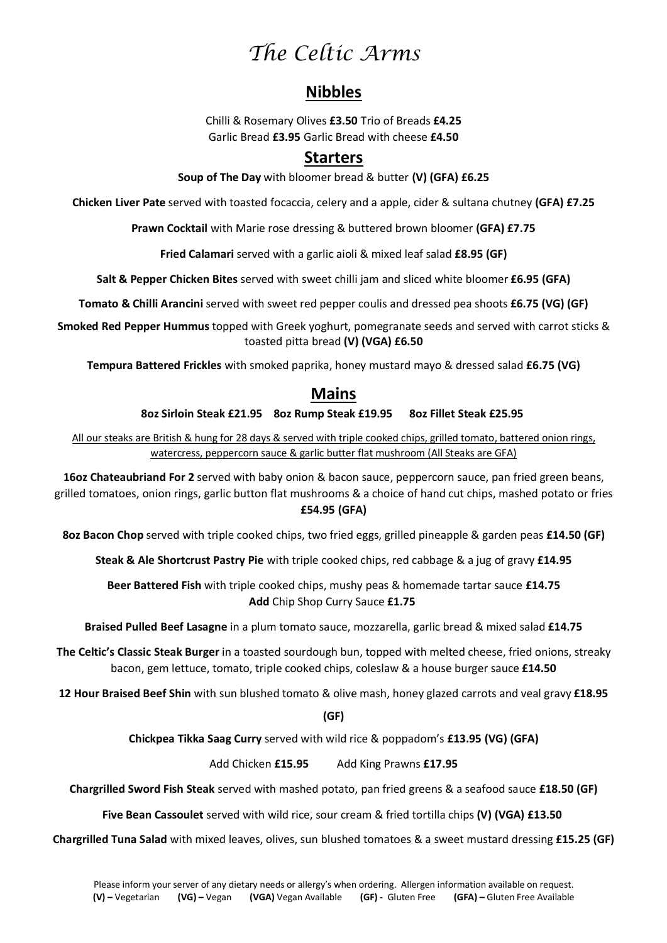# *The Celtic Arms*

# **Nibbles**

Chilli & Rosemary Olives **£3.50** Trio of Breads **£4.25** Garlic Bread **£3.95** Garlic Bread with cheese **£4.50** 

# **Starters**

**Soup of The Day** with bloomer bread & butter **(V) (GFA) £6.25**

**Chicken Liver Pate** served with toasted focaccia, celery and a apple, cider & sultana chutney **(GFA) £7.25**

**Prawn Cocktail** with Marie rose dressing & buttered brown bloomer **(GFA) £7.75**

**Fried Calamari** served with a garlic aioli & mixed leaf salad **£8.95 (GF)**

**Salt & Pepper Chicken Bites** served with sweet chilli jam and sliced white bloomer **£6.95 (GFA)**

**Tomato & Chilli Arancini** served with sweet red pepper coulis and dressed pea shoots **£6.75 (VG) (GF)**

**Smoked Red Pepper Hummus** topped with Greek yoghurt, pomegranate seeds and served with carrot sticks & toasted pitta bread **(V) (VGA) £6.50**

**Tempura Battered Frickles** with smoked paprika, honey mustard mayo & dressed salad **£6.75 (VG)**

## **Mains**

#### **8oz Sirloin Steak £21.95 8oz Rump Steak £19.95 8oz Fillet Steak £25.95**

All our steaks are British & hung for 28 days & served with triple cooked chips, grilled tomato, battered onion rings, watercress, peppercorn sauce & garlic butter flat mushroom (All Steaks are GFA)

**16oz Chateaubriand For 2** served with baby onion & bacon sauce, peppercorn sauce, pan fried green beans, grilled tomatoes, onion rings, garlic button flat mushrooms & a choice of hand cut chips, mashed potato or fries **£54.95 (GFA)**

**8oz Bacon Chop** served with triple cooked chips, two fried eggs, grilled pineapple & garden peas **£14.50 (GF)**

**Steak & Ale Shortcrust Pastry Pie** with triple cooked chips, red cabbage & a jug of gravy **£14.95**

**Beer Battered Fish** with triple cooked chips, mushy peas & homemade tartar sauce **£14.75 Add** Chip Shop Curry Sauce **£1.75**

**Braised Pulled Beef Lasagne** in a plum tomato sauce, mozzarella, garlic bread & mixed salad **£14.75**

**The Celtic's Classic Steak Burger** in a toasted sourdough bun, topped with melted cheese, fried onions, streaky bacon, gem lettuce, tomato, triple cooked chips, coleslaw & a house burger sauce **£14.50**

**12 Hour Braised Beef Shin** with sun blushed tomato & olive mash, honey glazed carrots and veal gravy **£18.95**

**(GF)**

**Chickpea Tikka Saag Curry** served with wild rice & poppadom's **£13.95 (VG) (GFA)**

Add Chicken **£15.95** Add King Prawns **£17.95**

**Chargrilled Sword Fish Steak** served with mashed potato, pan fried greens & a seafood sauce **£18.50 (GF)**

**Five Bean Cassoulet** served with wild rice, sour cream & fried tortilla chips **(V) (VGA) £13.50** 

**Chargrilled Tuna Salad** with mixed leaves, olives, sun blushed tomatoes & a sweet mustard dressing **£15.25 (GF)**